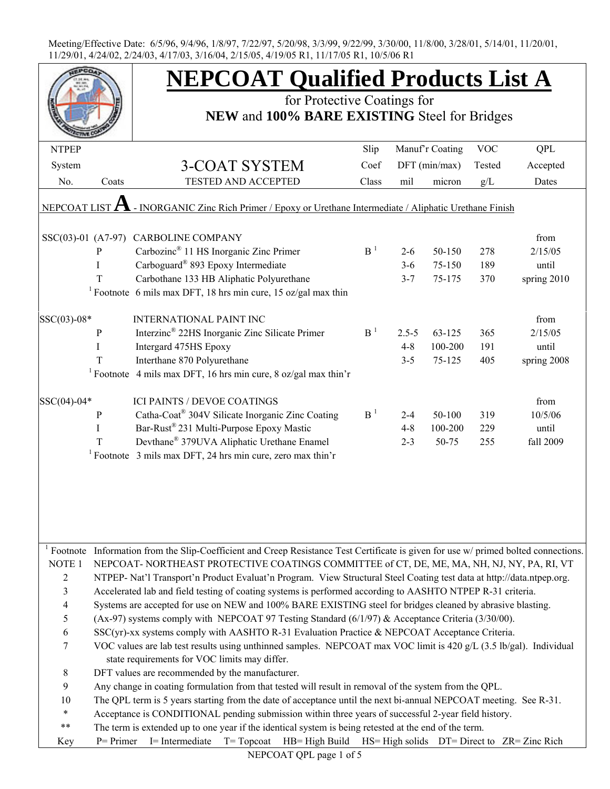|                      |              | <b>NEPCOAT Qualified Products List A</b>                                                                                            |                |           |                 |            |                                             |
|----------------------|--------------|-------------------------------------------------------------------------------------------------------------------------------------|----------------|-----------|-----------------|------------|---------------------------------------------|
|                      |              | for Protective Coatings for<br>NEW and 100% BARE EXISTING Steel for Bridges                                                         |                |           |                 |            |                                             |
|                      |              |                                                                                                                                     |                |           |                 |            |                                             |
| <b>NTPEP</b>         |              |                                                                                                                                     | Slip           |           | Manuf'r Coating | <b>VOC</b> | <b>QPL</b>                                  |
| System               |              | 3-COAT SYSTEM                                                                                                                       | Coef           |           | $DFT$ (min/max) | Tested     | Accepted                                    |
| No.                  | Coats        | TESTED AND ACCEPTED                                                                                                                 | Class          | mil       | micron          | g/L        | Dates                                       |
|                      |              |                                                                                                                                     |                |           |                 |            |                                             |
| NEPCOAT LIST         |              | - INORGANIC Zinc Rich Primer / Epoxy or Urethane Intermediate / Aliphatic Urethane Finish                                           |                |           |                 |            |                                             |
|                      |              |                                                                                                                                     |                |           |                 |            |                                             |
| $SSC(03)-01$ (A7-97) |              | CARBOLINE COMPANY                                                                                                                   |                |           |                 |            | from                                        |
|                      | P            | Carbozinc <sup>®</sup> 11 HS Inorganic Zinc Primer                                                                                  | B <sup>1</sup> | $2 - 6$   | 50-150          | 278        | 2/15/05                                     |
|                      | $\mathbf{I}$ | Carboguard <sup>®</sup> 893 Epoxy Intermediate                                                                                      |                | $3 - 6$   | 75-150          | 189        | until                                       |
|                      | T            | Carbothane 133 HB Aliphatic Polyurethane                                                                                            |                | $3 - 7$   | 75-175          | 370        | spring 2010                                 |
|                      |              | <sup>1</sup> Footnote 6 mils max DFT, 18 hrs min cure, 15 oz/gal max thin                                                           |                |           |                 |            |                                             |
|                      |              |                                                                                                                                     |                |           |                 |            |                                             |
| SSC(03)-08*          |              | <b>INTERNATIONAL PAINT INC</b>                                                                                                      | B <sup>1</sup> |           |                 |            | from                                        |
|                      | $\mathbf{P}$ | Interzinc <sup>®</sup> 22HS Inorganic Zinc Silicate Primer                                                                          |                | $2.5 - 5$ | 63-125          | 365        | 2/15/05                                     |
|                      | $\mathbf{I}$ | Intergard 475HS Epoxy                                                                                                               |                | $4 - 8$   | 100-200         | 191        | until                                       |
|                      | T            | Interthane 870 Polyurethane                                                                                                         |                | $3 - 5$   | 75-125          | 405        | spring 2008                                 |
|                      |              | <sup>1</sup> Footnote 4 mils max DFT, 16 hrs min cure, 8 oz/gal max thin'r                                                          |                |           |                 |            |                                             |
| SSC(04)-04*          |              | <b>ICI PAINTS / DEVOE COATINGS</b>                                                                                                  |                |           |                 |            | from                                        |
|                      | $\mathbf{P}$ | Catha-Coat® 304V Silicate Inorganic Zinc Coating                                                                                    | B <sup>1</sup> | $2 - 4$   | 50-100          | 319        | 10/5/06                                     |
|                      | I            | Bar-Rust <sup>®</sup> 231 Multi-Purpose Epoxy Mastic                                                                                |                | $4 - 8$   | 100-200         | 229        | until                                       |
|                      | T            | Devthane® 379UVA Aliphatic Urethane Enamel                                                                                          |                | $2 - 3$   | 50-75           | 255        | fall 2009                                   |
|                      |              | <sup>1</sup> Footnote $\beta$ mils max DFT, 24 hrs min cure, zero max thin'r                                                        |                |           |                 |            |                                             |
|                      |              |                                                                                                                                     |                |           |                 |            |                                             |
|                      |              |                                                                                                                                     |                |           |                 |            |                                             |
|                      |              |                                                                                                                                     |                |           |                 |            |                                             |
|                      |              |                                                                                                                                     |                |           |                 |            |                                             |
|                      |              |                                                                                                                                     |                |           |                 |            |                                             |
|                      |              |                                                                                                                                     |                |           |                 |            |                                             |
|                      |              | Footnote Information from the Slip-Coefficient and Creep Resistance Test Certificate is given for use w/ primed bolted connections. |                |           |                 |            |                                             |
| NOTE <sub>1</sub>    |              | NEPCOAT-NORTHEAST PROTECTIVE COATINGS COMMITTEE of CT, DE, ME, MA, NH, NJ, NY, PA, RI, VT                                           |                |           |                 |            |                                             |
| $\sqrt{2}$           |              | NTPEP- Nat'l Transport'n Product Evaluat'n Program. View Structural Steel Coating test data at http://data.ntpep.org.               |                |           |                 |            |                                             |
| 3                    |              | Accelerated lab and field testing of coating systems is performed according to AASHTO NTPEP R-31 criteria.                          |                |           |                 |            |                                             |
| $\overline{4}$       |              | Systems are accepted for use on NEW and 100% BARE EXISTING steel for bridges cleaned by abrasive blasting.                          |                |           |                 |            |                                             |
| $\mathfrak s$        |              | (Ax-97) systems comply with NEPCOAT 97 Testing Standard (6/1/97) & Acceptance Criteria (3/30/00).                                   |                |           |                 |            |                                             |
| 6                    |              | SSC(yr)-xx systems comply with AASHTO R-31 Evaluation Practice & NEPCOAT Acceptance Criteria.                                       |                |           |                 |            |                                             |
| 7                    |              | VOC values are lab test results using unthinned samples. NEPCOAT max VOC limit is 420 g/L (3.5 lb/gal). Individual                  |                |           |                 |            |                                             |
|                      |              | state requirements for VOC limits may differ.                                                                                       |                |           |                 |            |                                             |
| $8\,$                |              | DFT values are recommended by the manufacturer.                                                                                     |                |           |                 |            |                                             |
| 9                    |              | Any change in coating formulation from that tested will result in removal of the system from the QPL.                               |                |           |                 |            |                                             |
| 10                   |              | The QPL term is 5 years starting from the date of acceptance until the next bi-annual NEPCOAT meeting. See R-31.                    |                |           |                 |            |                                             |
| $\ast$               |              | Acceptance is CONDITIONAL pending submission within three years of successful 2-year field history.                                 |                |           |                 |            |                                             |
| $***$                |              | The term is extended up to one year if the identical system is being retested at the end of the term.                               |                |           |                 |            |                                             |
| Key                  | $P = Primer$ | I= Intermediate<br>$T = Top coat$<br>HB= High Build                                                                                 |                |           |                 |            | HS= High solids DT= Direct to ZR= Zinc Rich |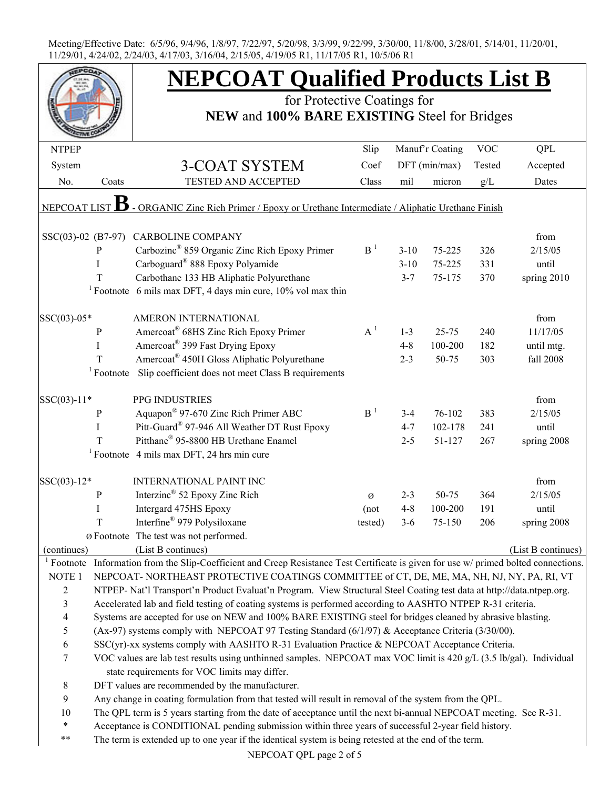|                          |              | <b>NEPCOAT Qualified Products List B</b>                                                                                   |                |          |                 |            |                    |  |  |
|--------------------------|--------------|----------------------------------------------------------------------------------------------------------------------------|----------------|----------|-----------------|------------|--------------------|--|--|
|                          |              | for Protective Coatings for                                                                                                |                |          |                 |            |                    |  |  |
|                          |              | NEW and 100% BARE EXISTING Steel for Bridges                                                                               |                |          |                 |            |                    |  |  |
| <b>NTPEP</b>             |              |                                                                                                                            | Slip           |          | Manuf'r Coating | <b>VOC</b> | <b>QPL</b>         |  |  |
| System                   |              | 3-COAT SYSTEM                                                                                                              | Coef           |          | DFT (min/max)   | Tested     | Accepted           |  |  |
| No.                      | Coats        | TESTED AND ACCEPTED                                                                                                        | Class          | mil      | micron          | g/L        | Dates              |  |  |
|                          |              |                                                                                                                            |                |          |                 |            |                    |  |  |
| NEPCOAT LIST             | В            | - ORGANIC Zinc Rich Primer / Epoxy or Urethane Intermediate / Aliphatic Urethane Finish                                    |                |          |                 |            |                    |  |  |
|                          |              |                                                                                                                            |                |          |                 |            |                    |  |  |
|                          |              | SSC(03)-02 (B7-97) CARBOLINE COMPANY                                                                                       |                |          |                 |            | from               |  |  |
|                          | ${\bf P}$    | Carbozinc <sup>®</sup> 859 Organic Zinc Rich Epoxy Primer                                                                  | B <sup>1</sup> | $3 - 10$ | 75-225          | 326        | 2/15/05            |  |  |
|                          | I            | Carboguard <sup>®</sup> 888 Epoxy Polyamide                                                                                |                | $3 - 10$ | 75-225          | 331        | until              |  |  |
|                          | T            | Carbothane 133 HB Aliphatic Polyurethane                                                                                   |                | $3 - 7$  | 75-175          | 370        | spring 2010        |  |  |
|                          |              | <sup>1</sup> Footnote 6 mils max DFT, 4 days min cure, $10\%$ vol max thin                                                 |                |          |                 |            |                    |  |  |
| SSC(03)-05*              |              | AMERON INTERNATIONAL                                                                                                       |                |          |                 |            | from               |  |  |
|                          | P            | Amercoat <sup>®</sup> 68HS Zinc Rich Epoxy Primer                                                                          | $A^1$          | $1 - 3$  | $25 - 75$       | 240        | 11/17/05           |  |  |
|                          | I            | Amercoat <sup>®</sup> 399 Fast Drying Epoxy                                                                                |                | $4 - 8$  | 100-200         | 182        | until mtg.         |  |  |
|                          | T            | Amercoat <sup>®</sup> 450H Gloss Aliphatic Polyurethane                                                                    |                | $2 - 3$  | 50-75           | 303        | fall 2008          |  |  |
|                          | $1$ Footnote | Slip coefficient does not meet Class B requirements                                                                        |                |          |                 |            |                    |  |  |
|                          |              |                                                                                                                            |                |          |                 |            |                    |  |  |
| $SSC(03)-11*$            |              | PPG INDUSTRIES                                                                                                             |                |          |                 |            | from               |  |  |
|                          | $\mathbf P$  | Aquapon <sup>®</sup> 97-670 Zinc Rich Primer ABC                                                                           | B <sup>1</sup> | $3-4$    | 76-102          | 383        | 2/15/05            |  |  |
|                          | I            | Pitt-Guard <sup>®</sup> 97-946 All Weather DT Rust Epoxy                                                                   |                | $4 - 7$  | 102-178         | 241        | until              |  |  |
|                          | T            | Pitthane® 95-8800 HB Urethane Enamel                                                                                       |                | $2 - 5$  | 51-127          | 267        | spring 2008        |  |  |
|                          |              | <sup>1</sup> Footnote 4 mils max DFT, 24 hrs min cure                                                                      |                |          |                 |            |                    |  |  |
| SSC(03)-12*              |              | <b>INTERNATIONAL PAINT INC</b>                                                                                             |                |          |                 |            | from               |  |  |
|                          | $\mathbf P$  | Interzinc <sup>®</sup> 52 Epoxy Zinc Rich                                                                                  | Ø              | $2 - 3$  | 50-75           | 364        | 2/15/05            |  |  |
|                          |              | Intergard 475HS Epoxy                                                                                                      | (not           | $4 - 8$  | 100-200         | 191        | until              |  |  |
|                          | $\mathbf T$  | Interfine® 979 Polysiloxane                                                                                                | tested)        | $3-6$    | 75-150          | 206        | spring 2008        |  |  |
|                          |              | Ø Footnote The test was not performed.                                                                                     |                |          |                 |            |                    |  |  |
| (continues)              |              | (List B continues)                                                                                                         |                |          |                 |            | (List B continues) |  |  |
| <sup>1</sup> Footnote    |              | Information from the Slip-Coefficient and Creep Resistance Test Certificate is given for use w/ primed bolted connections. |                |          |                 |            |                    |  |  |
| NOTE <sub>1</sub>        |              | NEPCOAT-NORTHEAST PROTECTIVE COATINGS COMMITTEE of CT, DE, ME, MA, NH, NJ, NY, PA, RI, VT                                  |                |          |                 |            |                    |  |  |
| $\overline{c}$           |              | NTPEP- Nat'l Transport'n Product Evaluat'n Program. View Structural Steel Coating test data at http://data.ntpep.org.      |                |          |                 |            |                    |  |  |
| 3                        |              | Accelerated lab and field testing of coating systems is performed according to AASHTO NTPEP R-31 criteria.                 |                |          |                 |            |                    |  |  |
| $\overline{\mathcal{A}}$ |              | Systems are accepted for use on NEW and 100% BARE EXISTING steel for bridges cleaned by abrasive blasting.                 |                |          |                 |            |                    |  |  |
| 5                        |              | (Ax-97) systems comply with NEPCOAT 97 Testing Standard (6/1/97) & Acceptance Criteria (3/30/00).                          |                |          |                 |            |                    |  |  |
| 6                        |              | SSC(yr)-xx systems comply with AASHTO R-31 Evaluation Practice & NEPCOAT Acceptance Criteria.                              |                |          |                 |            |                    |  |  |
| 7                        |              | VOC values are lab test results using unthinned samples. NEPCOAT max VOC limit is 420 g/L (3.5 lb/gal). Individual         |                |          |                 |            |                    |  |  |
|                          |              | state requirements for VOC limits may differ.                                                                              |                |          |                 |            |                    |  |  |
| 8                        |              | DFT values are recommended by the manufacturer.                                                                            |                |          |                 |            |                    |  |  |
| 9                        |              | Any change in coating formulation from that tested will result in removal of the system from the QPL.                      |                |          |                 |            |                    |  |  |
| 10                       |              | The QPL term is 5 years starting from the date of acceptance until the next bi-annual NEPCOAT meeting. See R-31.           |                |          |                 |            |                    |  |  |
| $\ast$                   |              | Acceptance is CONDITIONAL pending submission within three years of successful 2-year field history.                        |                |          |                 |            |                    |  |  |
| **                       |              | The term is extended up to one year if the identical system is being retested at the end of the term.                      |                |          |                 |            |                    |  |  |

NEPCOAT QPL page 2 of 5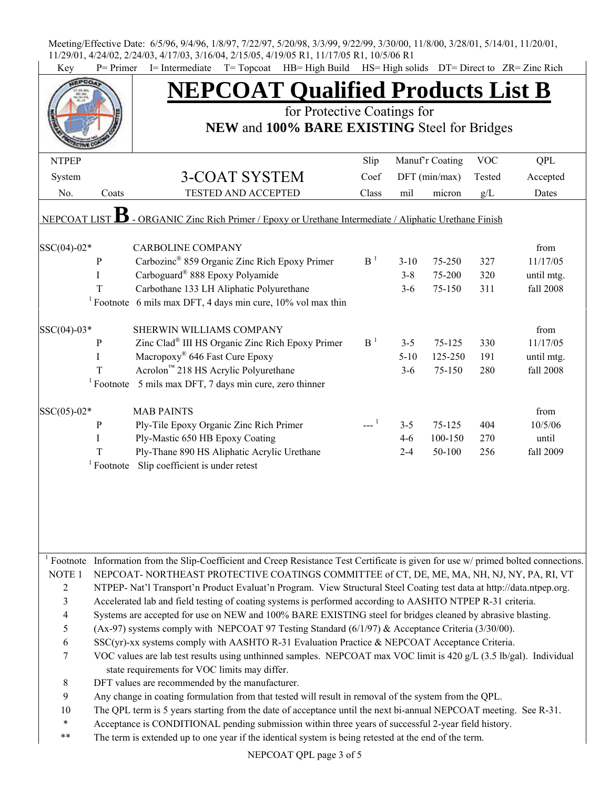| Key                     | $P = Primer$ | I= Intermediate T= Topcoat HB= High Build HS= High solids DT= Direct to ZR= Zinc Rich<br><b>NEPCOAT Qualified Products List B</b>                |                |          |                 |            |            |  |  |  |
|-------------------------|--------------|--------------------------------------------------------------------------------------------------------------------------------------------------|----------------|----------|-----------------|------------|------------|--|--|--|
|                         |              | for Protective Coatings for                                                                                                                      |                |          |                 |            |            |  |  |  |
|                         |              | NEW and 100% BARE EXISTING Steel for Bridges                                                                                                     |                |          |                 |            |            |  |  |  |
|                         |              |                                                                                                                                                  |                |          |                 |            |            |  |  |  |
| <b>NTPEP</b>            |              |                                                                                                                                                  | Slip           |          | Manuf'r Coating | <b>VOC</b> | <b>QPL</b> |  |  |  |
| System                  |              | <b>3-COAT SYSTEM</b>                                                                                                                             | Coef           |          | $DFT$ (min/max) | Tested     | Accepted   |  |  |  |
| No.                     | Coats        | TESTED AND ACCEPTED                                                                                                                              | Class          | mil      | micron          | g/L        | Dates      |  |  |  |
| NEPCOAT LIST            | В            | - ORGANIC Zinc Rich Primer / Epoxy or Urethane Intermediate / Aliphatic Urethane Finish                                                          |                |          |                 |            |            |  |  |  |
|                         |              |                                                                                                                                                  |                |          |                 |            |            |  |  |  |
| $SSC(04)-02*$           |              | <b>CARBOLINE COMPANY</b>                                                                                                                         |                |          |                 |            | from       |  |  |  |
|                         | $\, {\bf P}$ | Carbozinc <sup>®</sup> 859 Organic Zinc Rich Epoxy Primer                                                                                        | B <sup>1</sup> | $3 - 10$ | 75-250          | 327        | 11/17/05   |  |  |  |
|                         | $\bf{I}$     | Carboguard <sup>®</sup> 888 Epoxy Polyamide                                                                                                      |                | $3 - 8$  | 75-200          | 320        | until mtg. |  |  |  |
|                         | T            | Carbothane 133 LH Aliphatic Polyurethane                                                                                                         |                | $3 - 6$  | 75-150          | 311        | fall 2008  |  |  |  |
|                         |              | <sup>1</sup> Footnote 6 mils max DFT, 4 days min cure, $10\%$ vol max thin                                                                       |                |          |                 |            |            |  |  |  |
| SSC(04)-03*             |              | SHERWIN WILLIAMS COMPANY                                                                                                                         |                |          |                 |            | from       |  |  |  |
|                         | $\, {\bf p}$ | Zinc Clad® III HS Organic Zinc Rich Epoxy Primer                                                                                                 | B <sup>1</sup> | $3 - 5$  | 75-125          | 330        | 11/17/05   |  |  |  |
|                         | $\mathbf I$  | Macropoxy <sup>®</sup> 646 Fast Cure Epoxy                                                                                                       |                | $5 - 10$ | 125-250         | 191        | until mtg. |  |  |  |
|                         | T            | Acrolon™ 218 HS Acrylic Polyurethane                                                                                                             |                | $3 - 6$  | 75-150          | 280        | fall 2008  |  |  |  |
|                         |              | $1$ Footnote 5 mils max DFT, 7 days min cure, zero thinner                                                                                       |                |          |                 |            |            |  |  |  |
| SSC(05)-02*             |              | <b>MAB PAINTS</b>                                                                                                                                |                |          |                 |            | from       |  |  |  |
|                         | P            | Ply-Tile Epoxy Organic Zinc Rich Primer                                                                                                          |                | $3 - 5$  | 75-125          | 404        | 10/5/06    |  |  |  |
|                         | I            | Ply-Mastic 650 HB Epoxy Coating                                                                                                                  |                | $4-6$    | 100-150         | 270        | until      |  |  |  |
|                         | $\rm T$      | Ply-Thane 890 HS Aliphatic Acrylic Urethane                                                                                                      |                | $2 - 4$  | 50-100          | 256        | fall 2009  |  |  |  |
|                         | $1$ Footnote | Slip coefficient is under retest                                                                                                                 |                |          |                 |            |            |  |  |  |
|                         |              |                                                                                                                                                  |                |          |                 |            |            |  |  |  |
|                         |              |                                                                                                                                                  |                |          |                 |            |            |  |  |  |
|                         |              | <sup>1</sup> Footnote Information from the Slip-Coefficient and Creep Resistance Test Certificate is given for use w/ primed bolted connections. |                |          |                 |            |            |  |  |  |
| NOTE <sub>1</sub>       |              | NEPCOAT-NORTHEAST PROTECTIVE COATINGS COMMITTEE of CT, DE, ME, MA, NH, NJ, NY, PA, RI, VT                                                        |                |          |                 |            |            |  |  |  |
| 2                       |              | NTPEP- Nat'l Transport'n Product Evaluat'n Program. View Structural Steel Coating test data at http://data.ntpep.org.                            |                |          |                 |            |            |  |  |  |
| $\overline{\mathbf{3}}$ |              | Accelerated lab and field testing of coating systems is performed according to AASHTO NTPEP R-31 criteria.                                       |                |          |                 |            |            |  |  |  |
| 4                       |              | Systems are accepted for use on NEW and 100% BARE EXISTING steel for bridges cleaned by abrasive blasting.                                       |                |          |                 |            |            |  |  |  |
| 5                       |              | (Ax-97) systems comply with NEPCOAT 97 Testing Standard (6/1/97) & Acceptance Criteria (3/30/00).                                                |                |          |                 |            |            |  |  |  |
| 6                       |              | SSC(yr)-xx systems comply with AASHTO R-31 Evaluation Practice & NEPCOAT Acceptance Criteria.                                                    |                |          |                 |            |            |  |  |  |
| 7                       |              | VOC values are lab test results using unthinned samples. NEPCOAT max VOC limit is 420 g/L (3.5 lb/gal). Individual                               |                |          |                 |            |            |  |  |  |
|                         |              | state requirements for VOC limits may differ.                                                                                                    |                |          |                 |            |            |  |  |  |
| 8                       |              | DFT values are recommended by the manufacturer.                                                                                                  |                |          |                 |            |            |  |  |  |
| 9                       |              | Any change in coating formulation from that tested will result in removal of the system from the QPL.                                            |                |          |                 |            |            |  |  |  |
| 10                      |              | The QPL term is 5 years starting from the date of acceptance until the next bi-annual NEPCOAT meeting. See R-31.                                 |                |          |                 |            |            |  |  |  |
| $\ast$                  |              | Acceptance is CONDITIONAL pending submission within three years of successful 2-year field history.                                              |                |          |                 |            |            |  |  |  |
| **                      |              | The term is extended up to one year if the identical system is being retested at the end of the term.                                            |                |          |                 |            |            |  |  |  |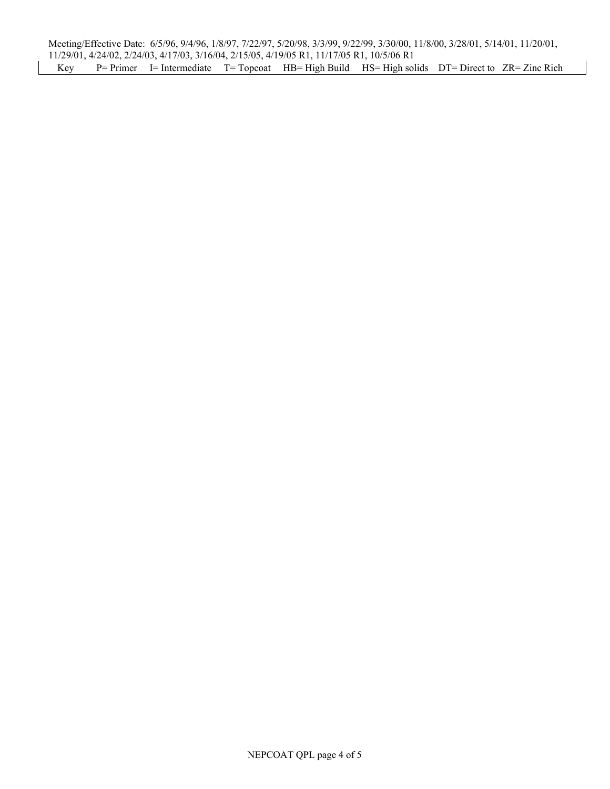Meeting/Effective Date: 6/5/96, 9/4/96, 1/8/97, 7/22/97, 5/20/98, 3/3/99, 9/22/99, 3/30/00, 11/8/00, 3/28/01, 5/14/01, 11/20/01, 11/29/01, 4/24/02, 2/24/03, 4/17/03, 3/16/04, 2/15/05, 4/19/05 R1, 11/17/05 R1, 10/5/06 R1 Key P= Primer I= Intermediate T= Topcoat HB= High Build HS= High solids DT= Direct to ZR= Zinc Rich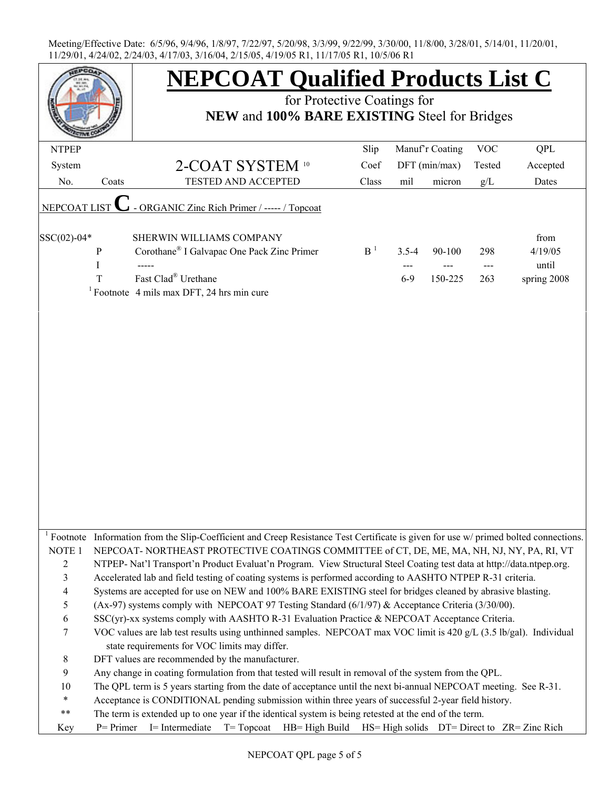|                               |       | <b>NEPCOAT Qualified Products List C</b>                                                                                                                                                                           |                |           |                 |                |             |
|-------------------------------|-------|--------------------------------------------------------------------------------------------------------------------------------------------------------------------------------------------------------------------|----------------|-----------|-----------------|----------------|-------------|
|                               |       | for Protective Coatings for<br>NEW and 100% BARE EXISTING Steel for Bridges                                                                                                                                        |                |           |                 |                |             |
|                               |       |                                                                                                                                                                                                                    |                |           |                 |                |             |
| <b>NTPEP</b>                  |       |                                                                                                                                                                                                                    | Slip           |           | Manuf'r Coating | <b>VOC</b>     | <b>QPL</b>  |
| System                        |       | 2-COAT SYSTEM 10                                                                                                                                                                                                   | Coef           |           | $DFT$ (min/max) | Tested         | Accepted    |
| No.                           | Coats | TESTED AND ACCEPTED                                                                                                                                                                                                | Class          | mil       | micron          | g/L            | Dates       |
|                               |       |                                                                                                                                                                                                                    |                |           |                 |                |             |
| NEPCOAT LIST                  |       | ORGANIC Zinc Rich Primer / ----- / Topcoat                                                                                                                                                                         |                |           |                 |                |             |
| SSC(02)-04*                   |       | SHERWIN WILLIAMS COMPANY                                                                                                                                                                                           |                |           |                 |                | from        |
|                               | P     | Corothane® I Galvapac One Pack Zinc Primer                                                                                                                                                                         | B <sup>1</sup> | $3.5 - 4$ | 90-100          | 298            | 4/19/05     |
|                               | I     |                                                                                                                                                                                                                    |                | ---       |                 | $\overline{a}$ | until       |
|                               | T     | Fast Clad® Urethane                                                                                                                                                                                                |                | $6-9$     | 150-225         | 263            | spring 2008 |
|                               |       | <sup>1</sup> Footnote 4 mils max DFT, 24 hrs min cure                                                                                                                                                              |                |           |                 |                |             |
|                               |       |                                                                                                                                                                                                                    |                |           |                 |                |             |
|                               |       |                                                                                                                                                                                                                    |                |           |                 |                |             |
|                               |       |                                                                                                                                                                                                                    |                |           |                 |                |             |
|                               |       |                                                                                                                                                                                                                    |                |           |                 |                |             |
|                               |       |                                                                                                                                                                                                                    |                |           |                 |                |             |
|                               |       |                                                                                                                                                                                                                    |                |           |                 |                |             |
|                               |       |                                                                                                                                                                                                                    |                |           |                 |                |             |
|                               |       |                                                                                                                                                                                                                    |                |           |                 |                |             |
|                               |       |                                                                                                                                                                                                                    |                |           |                 |                |             |
|                               |       |                                                                                                                                                                                                                    |                |           |                 |                |             |
|                               |       |                                                                                                                                                                                                                    |                |           |                 |                |             |
|                               |       |                                                                                                                                                                                                                    |                |           |                 |                |             |
|                               |       |                                                                                                                                                                                                                    |                |           |                 |                |             |
|                               |       |                                                                                                                                                                                                                    |                |           |                 |                |             |
|                               |       |                                                                                                                                                                                                                    |                |           |                 |                |             |
|                               |       |                                                                                                                                                                                                                    |                |           |                 |                |             |
| Footnote<br>NOTE <sub>1</sub> |       | Information from the Slip-Coefficient and Creep Resistance Test Certificate is given for use w/ primed bolted connections.                                                                                         |                |           |                 |                |             |
| $\overline{2}$                |       | NEPCOAT-NORTHEAST PROTECTIVE COATINGS COMMITTEE of CT, DE, ME, MA, NH, NJ, NY, PA, RI, VT<br>NTPEP- Nat'l Transport'n Product Evaluat'n Program. View Structural Steel Coating test data at http://data.ntpep.org. |                |           |                 |                |             |
| 3                             |       | Accelerated lab and field testing of coating systems is performed according to AASHTO NTPEP R-31 criteria.                                                                                                         |                |           |                 |                |             |
| 4                             |       | Systems are accepted for use on NEW and 100% BARE EXISTING steel for bridges cleaned by abrasive blasting.                                                                                                         |                |           |                 |                |             |
| 5                             |       | (Ax-97) systems comply with NEPCOAT 97 Testing Standard $(6/1/97)$ & Acceptance Criteria (3/30/00).                                                                                                                |                |           |                 |                |             |
| 6                             |       | SSC(yr)-xx systems comply with AASHTO R-31 Evaluation Practice & NEPCOAT Acceptance Criteria.                                                                                                                      |                |           |                 |                |             |
| 7                             |       | VOC values are lab test results using unthinned samples. NEPCOAT max VOC limit is 420 g/L (3.5 lb/gal). Individual                                                                                                 |                |           |                 |                |             |
|                               |       | state requirements for VOC limits may differ.                                                                                                                                                                      |                |           |                 |                |             |
| $8\,$                         |       | DFT values are recommended by the manufacturer.                                                                                                                                                                    |                |           |                 |                |             |
| 9                             |       | Any change in coating formulation from that tested will result in removal of the system from the QPL.                                                                                                              |                |           |                 |                |             |
| 10                            |       | The QPL term is 5 years starting from the date of acceptance until the next bi-annual NEPCOAT meeting. See R-31.                                                                                                   |                |           |                 |                |             |
| $\ast$                        |       | Acceptance is CONDITIONAL pending submission within three years of successful 2-year field history.                                                                                                                |                |           |                 |                |             |
| $***$                         |       | The term is extended up to one year if the identical system is being retested at the end of the term.                                                                                                              |                |           |                 |                |             |
| Key                           |       | P= Primer I= Intermediate T= Topcoat HB= High Build HS= High solids DT= Direct to ZR= Zinc Rich                                                                                                                    |                |           |                 |                |             |